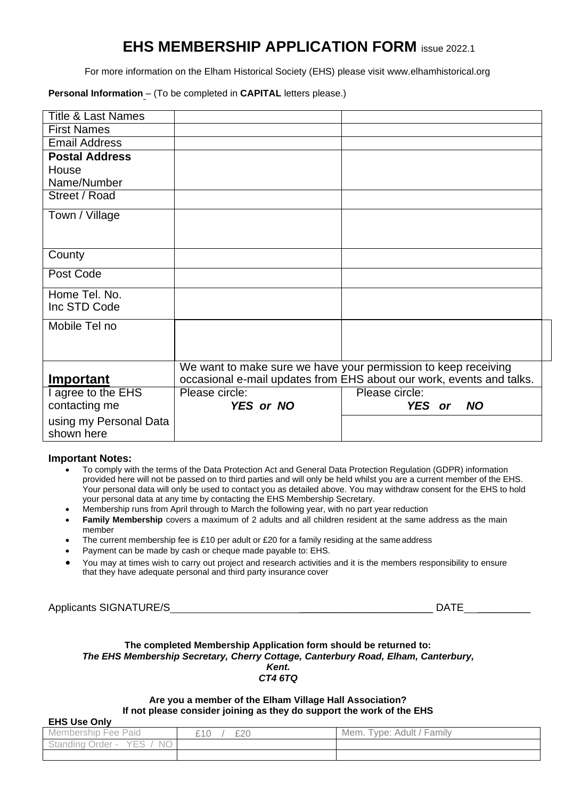## **EHS MEMBERSHIP APPLICATION FORM** issue 2022.1

For more information on the Elham Historical Society (EHS) please visit [www.elhamhistorical.org](http://www.elhamhistorical.org/)

**Personal Information** – (To be completed in **CAPITAL** letters please.)

| <b>Title &amp; Last Names</b> |                |                                                                      |  |
|-------------------------------|----------------|----------------------------------------------------------------------|--|
| <b>First Names</b>            |                |                                                                      |  |
| <b>Email Address</b>          |                |                                                                      |  |
| <b>Postal Address</b>         |                |                                                                      |  |
| House                         |                |                                                                      |  |
| Name/Number                   |                |                                                                      |  |
| Street / Road                 |                |                                                                      |  |
| Town / Village                |                |                                                                      |  |
|                               |                |                                                                      |  |
| County                        |                |                                                                      |  |
| Post Code                     |                |                                                                      |  |
| Home Tel. No.                 |                |                                                                      |  |
| Inc STD Code                  |                |                                                                      |  |
| Mobile Tel no                 |                |                                                                      |  |
|                               |                |                                                                      |  |
|                               |                |                                                                      |  |
|                               |                | We want to make sure we have your permission to keep receiving       |  |
| Important                     |                | occasional e-mail updates from EHS about our work, events and talks. |  |
| I agree to the EHS            | Please circle: | Please circle:                                                       |  |
| contacting me                 | YES or NO      | YES or<br><b>NO</b>                                                  |  |
| using my Personal Data        |                |                                                                      |  |
| shown here                    |                |                                                                      |  |

## **Important Notes:**

- To comply with the terms of the Data Protection Act and General Data Protection Regulation (GDPR) information provided here will not be passed on to third parties and will only be held whilst you are a current member of the EHS. Your personal data will only be used to contact you as detailed above. You may withdraw consent for the EHS to hold your personal data at any time by contacting the EHS Membership Secretary.
- Membership runs from April through to March the following year, with no part year reduction
- **Family Membership** covers a maximum of 2 adults and all children resident at the same address as the main member
- The current membership fee is £10 per adult or £20 for a family residing at the same address
- Payment can be made by cash or cheque made payable to: EHS.
- You may at times wish to carry out project and research activities and it is the members responsibility to ensure that they have adequate personal and third party insurance cover

Applicants SIGNATURE/S **Example 20** and the contract of the contract of the contract of the contract of the contract of the contract of the contract of the contract of the contract of the contract of the contract of the co

## **The completed Membership Application form should be returned to:** *The EHS Membership Secretary, Cherry Cottage, Canterbury Road, Elham, Canterbury, Kent. CT4 6TQ*

## **Are you a member of the Elham Village Hall Association? If not please consider joining as they do support the work of the EHS**

**EHS Use Only**

| $-110$ vuu viiiv                                                                        |                    |                                                                         |
|-----------------------------------------------------------------------------------------|--------------------|-------------------------------------------------------------------------|
| -<br>-<br>'aid<br><b>Hee</b><br>ivier<br>טור<br>nbersr                                  | £20<br>$\sim$<br>∼ | $\overline{\phantom{a}}$<br>$\cdots$<br>Family<br>Mem.<br>Adult<br>vpe: |
| $\sim$ $-$<br>$-$<br>NΟ<br>rder<br>$+ - - -$<br>$\sim$<br>-<br>ગવા પાા<br><b>Domain</b> |                    |                                                                         |
|                                                                                         |                    |                                                                         |